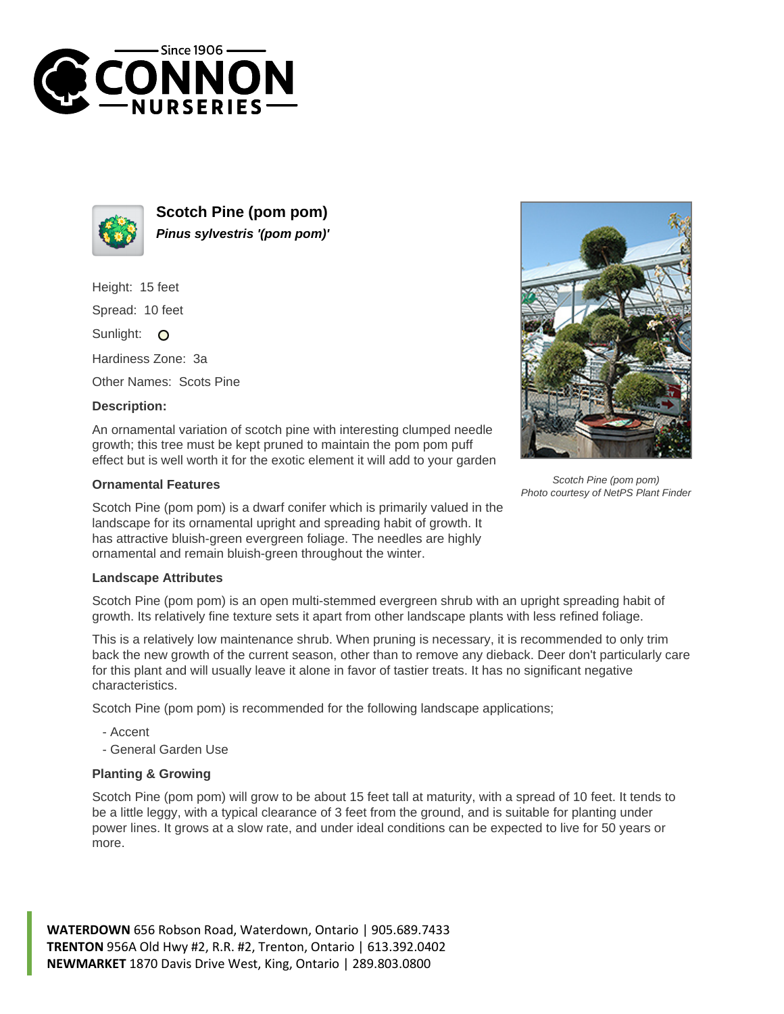



**Scotch Pine (pom pom) Pinus sylvestris '(pom pom)'**

Height: 15 feet

Spread: 10 feet

Sunlight: O

Hardiness Zone: 3a

Other Names: Scots Pine

## **Description:**

An ornamental variation of scotch pine with interesting clumped needle growth; this tree must be kept pruned to maintain the pom pom puff effect but is well worth it for the exotic element it will add to your garden

## **Ornamental Features**

Scotch Pine (pom pom) is a dwarf conifer which is primarily valued in the landscape for its ornamental upright and spreading habit of growth. It has attractive bluish-green evergreen foliage. The needles are highly ornamental and remain bluish-green throughout the winter.

## **Landscape Attributes**

Scotch Pine (pom pom) is an open multi-stemmed evergreen shrub with an upright spreading habit of growth. Its relatively fine texture sets it apart from other landscape plants with less refined foliage.

This is a relatively low maintenance shrub. When pruning is necessary, it is recommended to only trim back the new growth of the current season, other than to remove any dieback. Deer don't particularly care for this plant and will usually leave it alone in favor of tastier treats. It has no significant negative characteristics.

Scotch Pine (pom pom) is recommended for the following landscape applications;

- Accent
- General Garden Use

## **Planting & Growing**

Scotch Pine (pom pom) will grow to be about 15 feet tall at maturity, with a spread of 10 feet. It tends to be a little leggy, with a typical clearance of 3 feet from the ground, and is suitable for planting under power lines. It grows at a slow rate, and under ideal conditions can be expected to live for 50 years or more.

**WATERDOWN** 656 Robson Road, Waterdown, Ontario | 905.689.7433 **TRENTON** 956A Old Hwy #2, R.R. #2, Trenton, Ontario | 613.392.0402 **NEWMARKET** 1870 Davis Drive West, King, Ontario | 289.803.0800



Scotch Pine (pom pom) Photo courtesy of NetPS Plant Finder